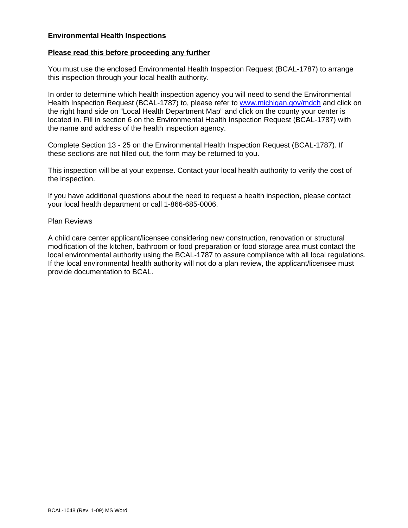## **Environmental Health Inspections**

## **Please read this before proceeding any further**

You must use the enclosed Environmental Health Inspection Request (BCAL-1787) to arrange this inspection through your local health authority.

In order to determine which health inspection agency you will need to send the Environmental Health Inspection Request (BCAL-1787) to, please refer to<www.michigan.gov/mdch> and click on the right hand side on "Local Health Department Map" and click on the county your center is located in. Fill in section 6 on the Environmental Health Inspection Request (BCAL-1787) with the name and address of the health inspection agency.

Complete Section 13 - 25 on the Environmental Health Inspection Request (BCAL-1787). If these sections are not filled out, the form may be returned to you.

This inspection will be at your expense. Contact your local health authority to verify the cost of the inspection.

If you have additional questions about the need to request a health inspection, please contact your local health department or call 1-866-685-0006.

## Plan Reviews

A child care center applicant/licensee considering new construction, renovation or structural modification of the kitchen, bathroom or food preparation or food storage area must contact the local environmental authority using the BCAL-1787 to assure compliance with all local regulations. If the local environmental health authority will not do a plan review, the applicant/licensee must provide documentation to BCAL.